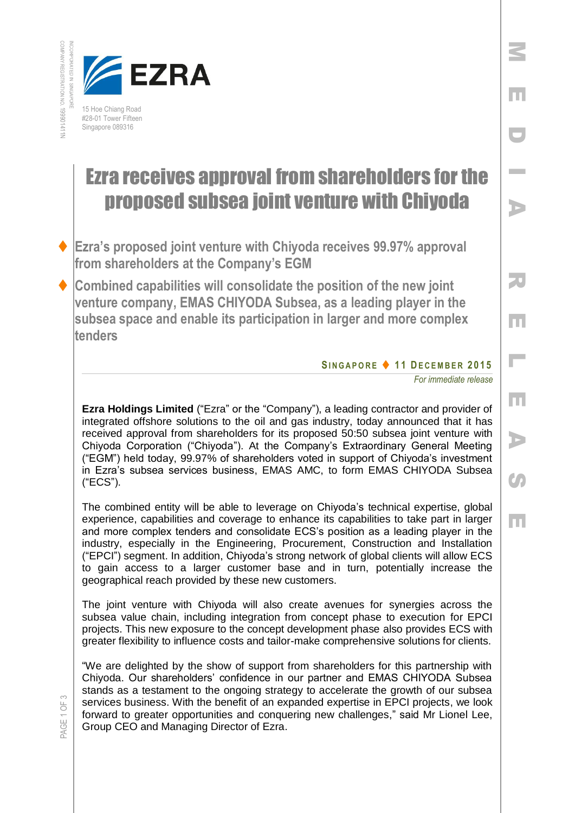



## Ezra receives approval from shareholders for the proposed subsea joint venture with Chiyoda

- **Ezra's proposed joint venture with Chiyoda receives 99.97% approval from shareholders at the Company's EGM**
- **Combined capabilities will consolidate the position of the new joint venture company, EMAS CHIYODA Subsea, as a leading player in the subsea space and enable its participation in larger and more complex tenders**

## **SI N G A P O R E 1 1 DE C E M B E R 201 5**

*For immediate release* 

M

E

D

I

A

R

E

 $\mathbb{R}^{\mathbb{Z}}$ 

E

A

**C** 

E

**Ezra Holdings Limited** ("Ezra" or the "Company"), a leading contractor and provider of integrated offshore solutions to the oil and gas industry, today announced that it has received approval from shareholders for its proposed 50:50 subsea joint venture with Chiyoda Corporation ("Chiyoda"). At the Company's Extraordinary General Meeting ("EGM") held today, 99.97% of shareholders voted in support of Chiyoda's investment in Ezra's subsea services business, EMAS AMC, to form EMAS CHIYODA Subsea ("ECS").

The combined entity will be able to leverage on Chiyoda's technical expertise, global experience, capabilities and coverage to enhance its capabilities to take part in larger and more complex tenders and consolidate ECS's position as a leading player in the industry, especially in the Engineering, Procurement, Construction and Installation ("EPCI") segment. In addition, Chiyoda's strong network of global clients will allow ECS to gain access to a larger customer base and in turn, potentially increase the geographical reach provided by these new customers.

The joint venture with Chiyoda will also create avenues for synergies across the subsea value chain, including integration from concept phase to execution for EPCI projects. This new exposure to the concept development phase also provides ECS with greater flexibility to influence costs and tailor-make comprehensive solutions for clients.

"We are delighted by the show of support from shareholders for this partnership with Chiyoda. Our shareholders' confidence in our partner and EMAS CHIYODA Subsea stands as a testament to the ongoing strategy to accelerate the growth of our subsea services business. With the benefit of an expanded expertise in EPCI projects, we look forward to greater opportunities and conquering new challenges," said Mr Lionel Lee, Group CEO and Managing Director of Ezra.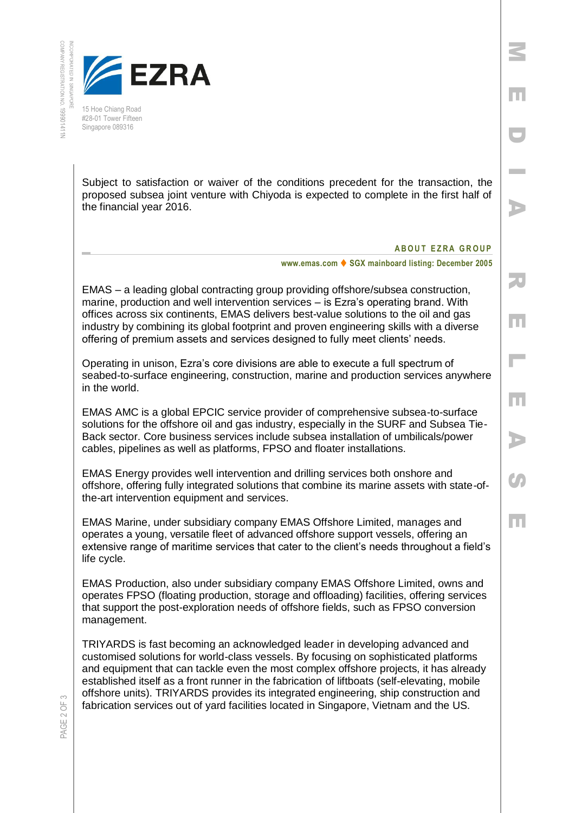

15 Hoe Chiang Road #28-01 Tower Fifteen Singapore 089316

Subject to satisfaction or waiver of the conditions precedent for the transaction, the proposed subsea joint venture with Chiyoda is expected to complete in the first half of the financial year 2016.

## **A B O U T E Z R A G R O U P**

M

E

D

I

A

R

E

L

E

A

 $\mathcal{S}_{\mathcal{P}}$ 

E

**www.emas.com ♦ SGX mainboard listing: December 2005** 

EMAS – a leading global contracting group providing offshore/subsea construction, marine, production and well intervention services – is Ezra's operating brand. With offices across six continents, EMAS delivers best-value solutions to the oil and gas industry by combining its global footprint and proven engineering skills with a diverse offering of premium assets and services designed to fully meet clients' needs.

Operating in unison, Ezra's core divisions are able to execute a full spectrum of seabed-to-surface engineering, construction, marine and production services anywhere in the world.

EMAS AMC is a global EPCIC service provider of comprehensive subsea-to-surface solutions for the offshore oil and gas industry, especially in the SURF and Subsea Tie-Back sector. Core business services include subsea installation of umbilicals/power cables, pipelines as well as platforms, FPSO and floater installations.

EMAS Energy provides well intervention and drilling services both onshore and offshore, offering fully integrated solutions that combine its marine assets with state-ofthe-art intervention equipment and services.

EMAS Marine, under subsidiary company EMAS Offshore Limited, manages and operates a young, versatile fleet of advanced offshore support vessels, offering an extensive range of maritime services that cater to the client's needs throughout a field's life cycle.

EMAS Production, also under subsidiary company EMAS Offshore Limited, owns and operates FPSO (floating production, storage and offloading) facilities, offering services that support the post-exploration needs of offshore fields, such as FPSO conversion management.

TRIYARDS is fast becoming an acknowledged leader in developing advanced and customised solutions for world-class vessels. By focusing on sophisticated platforms and equipment that can tackle even the most complex offshore projects, it has already established itself as a front runner in the fabrication of liftboats (self-elevating, mobile offshore units). TRIYARDS provides its integrated engineering, ship construction and fabrication services out of yard facilities located in Singapore, Vietnam and the US.